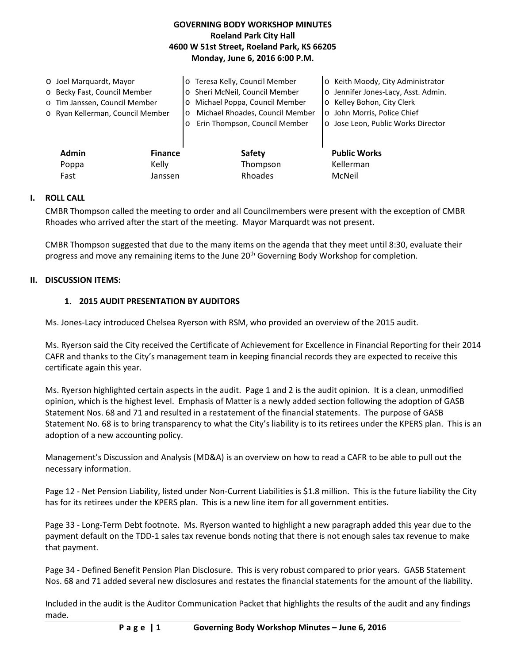## **GOVERNING BODY WORKSHOP MINUTES Roeland Park City Hall 4600 W 51st Street, Roeland Park, KS 66205 Monday, June 6, 2016 6:00 P.M.**

| O Joel Marquardt, Mayor<br>o Becky Fast, Council Member<br>o Tim Janssen, Council Member<br>o Ryan Kellerman, Council Member |                | o Teresa Kelly, Council Member<br>o Sheri McNeil, Council Member<br>Michael Poppa, Council Member<br>$\circ$<br>Michael Rhoades, Council Member<br>$\circ$<br>Erin Thompson, Council Member<br>$\circ$ | o Keith Moody, City Administrator<br>o Jennifer Jones-Lacy, Asst. Admin.<br>o Kelley Bohon, City Clerk<br>o John Morris, Police Chief<br>o Jose Leon, Public Works Director |
|------------------------------------------------------------------------------------------------------------------------------|----------------|--------------------------------------------------------------------------------------------------------------------------------------------------------------------------------------------------------|-----------------------------------------------------------------------------------------------------------------------------------------------------------------------------|
| <b>Admin</b>                                                                                                                 | <b>Finance</b> | Safety                                                                                                                                                                                                 | <b>Public Works</b>                                                                                                                                                         |
| Poppa                                                                                                                        | Kelly          | Thompson                                                                                                                                                                                               | Kellerman                                                                                                                                                                   |
| Fast                                                                                                                         | Janssen        | Rhoades                                                                                                                                                                                                | McNeil                                                                                                                                                                      |

## **I. ROLL CALL**

CMBR Thompson called the meeting to order and all Councilmembers were present with the exception of CMBR Rhoades who arrived after the start of the meeting. Mayor Marquardt was not present.

CMBR Thompson suggested that due to the many items on the agenda that they meet until 8:30, evaluate their progress and move any remaining items to the June 20<sup>th</sup> Governing Body Workshop for completion.

### **II. DISCUSSION ITEMS:**

## **1. 2015 AUDIT PRESENTATION BY AUDITORS**

Ms. Jones-Lacy introduced Chelsea Ryerson with RSM, who provided an overview of the 2015 audit.

Ms. Ryerson said the City received the Certificate of Achievement for Excellence in Financial Reporting for their 2014 CAFR and thanks to the City's management team in keeping financial records they are expected to receive this certificate again this year.

Ms. Ryerson highlighted certain aspects in the audit. Page 1 and 2 is the audit opinion. It is a clean, unmodified opinion, which is the highest level. Emphasis of Matter is a newly added section following the adoption of GASB Statement Nos. 68 and 71 and resulted in a restatement of the financial statements. The purpose of GASB Statement No. 68 is to bring transparency to what the City's liability is to its retirees under the KPERS plan. This is an adoption of a new accounting policy.

Management's Discussion and Analysis (MD&A) is an overview on how to read a CAFR to be able to pull out the necessary information.

Page 12 - Net Pension Liability, listed under Non-Current Liabilities is \$1.8 million. This is the future liability the City has for its retirees under the KPERS plan. This is a new line item for all government entities.

Page 33 - Long-Term Debt footnote. Ms. Ryerson wanted to highlight a new paragraph added this year due to the payment default on the TDD-1 sales tax revenue bonds noting that there is not enough sales tax revenue to make that payment.

Page 34 - Defined Benefit Pension Plan Disclosure. This is very robust compared to prior years. GASB Statement Nos. 68 and 71 added several new disclosures and restates the financial statements for the amount of the liability.

Included in the audit is the Auditor Communication Packet that highlights the results of the audit and any findings made.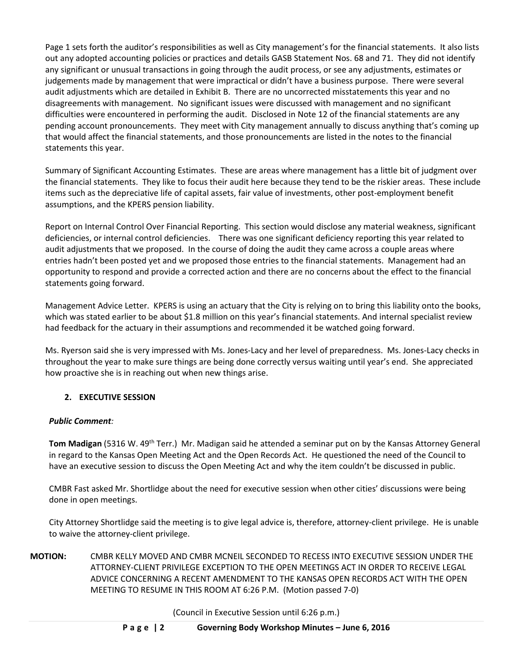Page 1 sets forth the auditor's responsibilities as well as City management's for the financial statements. It also lists out any adopted accounting policies or practices and details GASB Statement Nos. 68 and 71. They did not identify any significant or unusual transactions in going through the audit process, or see any adjustments, estimates or judgements made by management that were impractical or didn't have a business purpose. There were several audit adjustments which are detailed in Exhibit B. There are no uncorrected misstatements this year and no disagreements with management. No significant issues were discussed with management and no significant difficulties were encountered in performing the audit. Disclosed in Note 12 of the financial statements are any pending account pronouncements. They meet with City management annually to discuss anything that's coming up that would affect the financial statements, and those pronouncements are listed in the notes to the financial statements this year.

Summary of Significant Accounting Estimates. These are areas where management has a little bit of judgment over the financial statements. They like to focus their audit here because they tend to be the riskier areas. These include items such as the depreciative life of capital assets, fair value of investments, other post-employment benefit assumptions, and the KPERS pension liability.

Report on Internal Control Over Financial Reporting. This section would disclose any material weakness, significant deficiencies, or internal control deficiencies. There was one significant deficiency reporting this year related to audit adjustments that we proposed. In the course of doing the audit they came across a couple areas where entries hadn't been posted yet and we proposed those entries to the financial statements. Management had an opportunity to respond and provide a corrected action and there are no concerns about the effect to the financial statements going forward.

Management Advice Letter. KPERS is using an actuary that the City is relying on to bring this liability onto the books, which was stated earlier to be about \$1.8 million on this year's financial statements. And internal specialist review had feedback for the actuary in their assumptions and recommended it be watched going forward.

Ms. Ryerson said she is very impressed with Ms. Jones-Lacy and her level of preparedness. Ms. Jones-Lacy checks in throughout the year to make sure things are being done correctly versus waiting until year's end. She appreciated how proactive she is in reaching out when new things arise.

## **2. EXECUTIVE SESSION**

## *Public Comment:*

**Tom Madigan** (5316 W. 49th Terr.) Mr. Madigan said he attended a seminar put on by the Kansas Attorney General in regard to the Kansas Open Meeting Act and the Open Records Act. He questioned the need of the Council to have an executive session to discuss the Open Meeting Act and why the item couldn't be discussed in public.

CMBR Fast asked Mr. Shortlidge about the need for executive session when other cities' discussions were being done in open meetings.

City Attorney Shortlidge said the meeting is to give legal advice is, therefore, attorney-client privilege. He is unable to waive the attorney-client privilege.

**MOTION:** CMBR KELLY MOVED AND CMBR MCNEIL SECONDED TO RECESS INTO EXECUTIVE SESSION UNDER THE ATTORNEY-CLIENT PRIVILEGE EXCEPTION TO THE OPEN MEETINGS ACT IN ORDER TO RECEIVE LEGAL ADVICE CONCERNING A RECENT AMENDMENT TO THE KANSAS OPEN RECORDS ACT WITH THE OPEN MEETING TO RESUME IN THIS ROOM AT 6:26 P.M. (Motion passed 7-0)

(Council in Executive Session until 6:26 p.m.)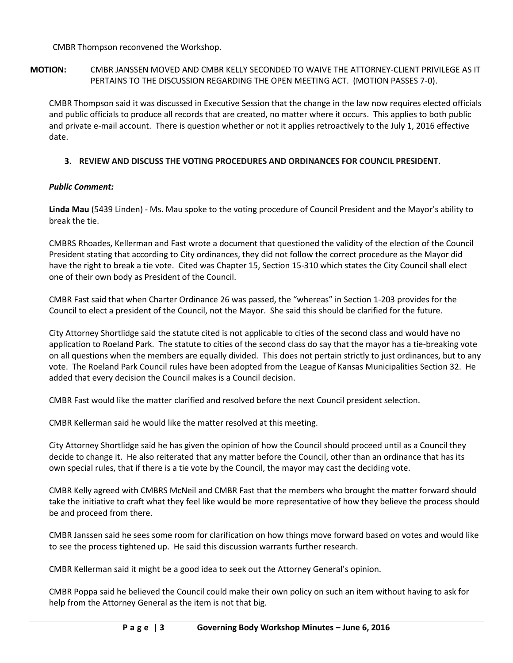CMBR Thompson reconvened the Workshop.

**MOTION:** CMBR JANSSEN MOVED AND CMBR KELLY SECONDED TO WAIVE THE ATTORNEY-CLIENT PRIVILEGE AS IT PERTAINS TO THE DISCUSSION REGARDING THE OPEN MEETING ACT. (MOTION PASSES 7-0).

CMBR Thompson said it was discussed in Executive Session that the change in the law now requires elected officials and public officials to produce all records that are created, no matter where it occurs. This applies to both public and private e-mail account. There is question whether or not it applies retroactively to the July 1, 2016 effective date.

## **3. REVIEW AND DISCUSS THE VOTING PROCEDURES AND ORDINANCES FOR COUNCIL PRESIDENT.**

## *Public Comment:*

**Linda Mau** (5439 Linden) - Ms. Mau spoke to the voting procedure of Council President and the Mayor's ability to break the tie.

CMBRS Rhoades, Kellerman and Fast wrote a document that questioned the validity of the election of the Council President stating that according to City ordinances, they did not follow the correct procedure as the Mayor did have the right to break a tie vote. Cited was Chapter 15, Section 15-310 which states the City Council shall elect one of their own body as President of the Council.

CMBR Fast said that when Charter Ordinance 26 was passed, the "whereas" in Section 1-203 provides for the Council to elect a president of the Council, not the Mayor. She said this should be clarified for the future.

City Attorney Shortlidge said the statute cited is not applicable to cities of the second class and would have no application to Roeland Park. The statute to cities of the second class do say that the mayor has a tie-breaking vote on all questions when the members are equally divided. This does not pertain strictly to just ordinances, but to any vote. The Roeland Park Council rules have been adopted from the League of Kansas Municipalities Section 32. He added that every decision the Council makes is a Council decision.

CMBR Fast would like the matter clarified and resolved before the next Council president selection.

CMBR Kellerman said he would like the matter resolved at this meeting.

City Attorney Shortlidge said he has given the opinion of how the Council should proceed until as a Council they decide to change it. He also reiterated that any matter before the Council, other than an ordinance that has its own special rules, that if there is a tie vote by the Council, the mayor may cast the deciding vote.

CMBR Kelly agreed with CMBRS McNeil and CMBR Fast that the members who brought the matter forward should take the initiative to craft what they feel like would be more representative of how they believe the process should be and proceed from there.

CMBR Janssen said he sees some room for clarification on how things move forward based on votes and would like to see the process tightened up. He said this discussion warrants further research.

CMBR Kellerman said it might be a good idea to seek out the Attorney General's opinion.

CMBR Poppa said he believed the Council could make their own policy on such an item without having to ask for help from the Attorney General as the item is not that big.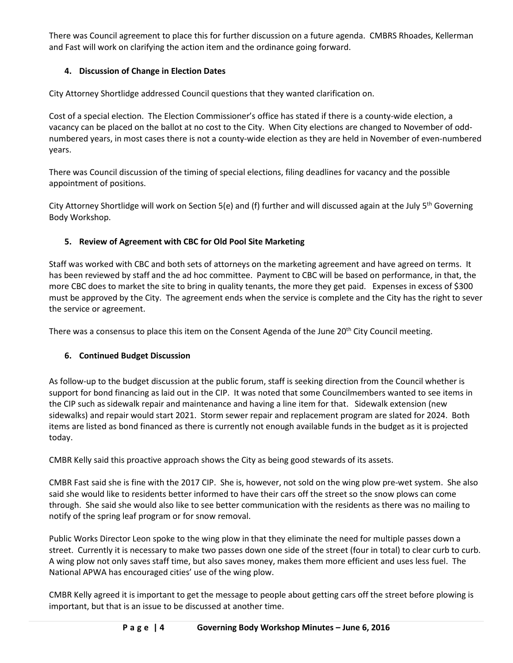There was Council agreement to place this for further discussion on a future agenda. CMBRS Rhoades, Kellerman and Fast will work on clarifying the action item and the ordinance going forward.

# **4. Discussion of Change in Election Dates**

City Attorney Shortlidge addressed Council questions that they wanted clarification on.

Cost of a special election. The Election Commissioner's office has stated if there is a county-wide election, a vacancy can be placed on the ballot at no cost to the City. When City elections are changed to November of oddnumbered years, in most cases there is not a county-wide election as they are held in November of even-numbered years.

There was Council discussion of the timing of special elections, filing deadlines for vacancy and the possible appointment of positions.

City Attorney Shortlidge will work on Section 5(e) and (f) further and will discussed again at the July 5<sup>th</sup> Governing Body Workshop.

# **5. Review of Agreement with CBC for Old Pool Site Marketing**

Staff was worked with CBC and both sets of attorneys on the marketing agreement and have agreed on terms. It has been reviewed by staff and the ad hoc committee. Payment to CBC will be based on performance, in that, the more CBC does to market the site to bring in quality tenants, the more they get paid. Expenses in excess of \$300 must be approved by the City. The agreement ends when the service is complete and the City has the right to sever the service or agreement.

There was a consensus to place this item on the Consent Agenda of the June 20<sup>th</sup> City Council meeting.

# **6. Continued Budget Discussion**

As follow-up to the budget discussion at the public forum, staff is seeking direction from the Council whether is support for bond financing as laid out in the CIP. It was noted that some Councilmembers wanted to see items in the CIP such as sidewalk repair and maintenance and having a line item for that. Sidewalk extension (new sidewalks) and repair would start 2021. Storm sewer repair and replacement program are slated for 2024. Both items are listed as bond financed as there is currently not enough available funds in the budget as it is projected today.

CMBR Kelly said this proactive approach shows the City as being good stewards of its assets.

CMBR Fast said she is fine with the 2017 CIP. She is, however, not sold on the wing plow pre-wet system. She also said she would like to residents better informed to have their cars off the street so the snow plows can come through. She said she would also like to see better communication with the residents as there was no mailing to notify of the spring leaf program or for snow removal.

Public Works Director Leon spoke to the wing plow in that they eliminate the need for multiple passes down a street. Currently it is necessary to make two passes down one side of the street (four in total) to clear curb to curb. A wing plow not only saves staff time, but also saves money, makes them more efficient and uses less fuel. The National APWA has encouraged cities' use of the wing plow.

CMBR Kelly agreed it is important to get the message to people about getting cars off the street before plowing is important, but that is an issue to be discussed at another time.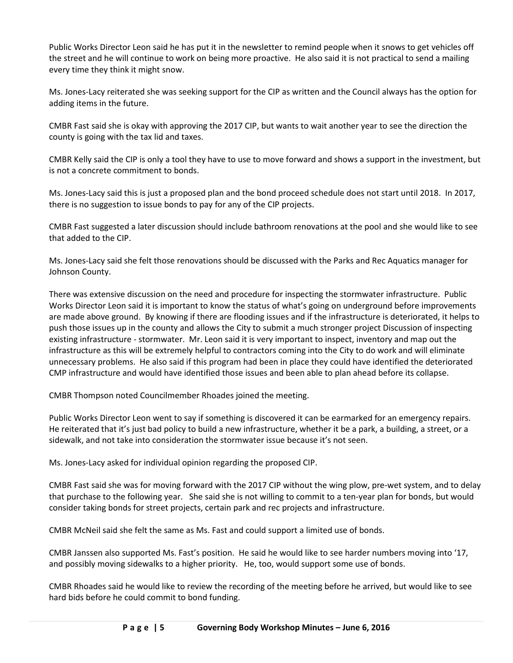Public Works Director Leon said he has put it in the newsletter to remind people when it snows to get vehicles off the street and he will continue to work on being more proactive. He also said it is not practical to send a mailing every time they think it might snow.

Ms. Jones-Lacy reiterated she was seeking support for the CIP as written and the Council always has the option for adding items in the future.

CMBR Fast said she is okay with approving the 2017 CIP, but wants to wait another year to see the direction the county is going with the tax lid and taxes.

CMBR Kelly said the CIP is only a tool they have to use to move forward and shows a support in the investment, but is not a concrete commitment to bonds.

Ms. Jones-Lacy said this is just a proposed plan and the bond proceed schedule does not start until 2018. In 2017, there is no suggestion to issue bonds to pay for any of the CIP projects.

CMBR Fast suggested a later discussion should include bathroom renovations at the pool and she would like to see that added to the CIP.

Ms. Jones-Lacy said she felt those renovations should be discussed with the Parks and Rec Aquatics manager for Johnson County.

There was extensive discussion on the need and procedure for inspecting the stormwater infrastructure. Public Works Director Leon said it is important to know the status of what's going on underground before improvements are made above ground. By knowing if there are flooding issues and if the infrastructure is deteriorated, it helps to push those issues up in the county and allows the City to submit a much stronger project Discussion of inspecting existing infrastructure - stormwater. Mr. Leon said it is very important to inspect, inventory and map out the infrastructure as this will be extremely helpful to contractors coming into the City to do work and will eliminate unnecessary problems. He also said if this program had been in place they could have identified the deteriorated CMP infrastructure and would have identified those issues and been able to plan ahead before its collapse.

CMBR Thompson noted Councilmember Rhoades joined the meeting.

Public Works Director Leon went to say if something is discovered it can be earmarked for an emergency repairs. He reiterated that it's just bad policy to build a new infrastructure, whether it be a park, a building, a street, or a sidewalk, and not take into consideration the stormwater issue because it's not seen.

Ms. Jones-Lacy asked for individual opinion regarding the proposed CIP.

CMBR Fast said she was for moving forward with the 2017 CIP without the wing plow, pre-wet system, and to delay that purchase to the following year. She said she is not willing to commit to a ten-year plan for bonds, but would consider taking bonds for street projects, certain park and rec projects and infrastructure.

CMBR McNeil said she felt the same as Ms. Fast and could support a limited use of bonds.

CMBR Janssen also supported Ms. Fast's position. He said he would like to see harder numbers moving into '17, and possibly moving sidewalks to a higher priority. He, too, would support some use of bonds.

CMBR Rhoades said he would like to review the recording of the meeting before he arrived, but would like to see hard bids before he could commit to bond funding.